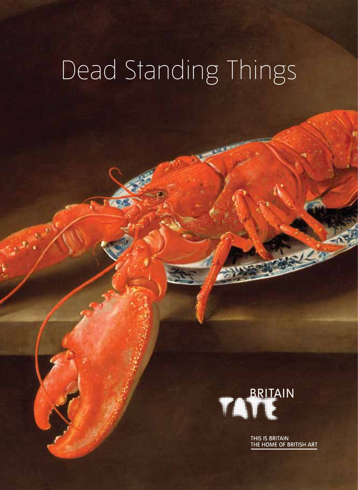# Dead Standing Things



THIS IS BRITAIN<br>THE HOME OF BRITISH ART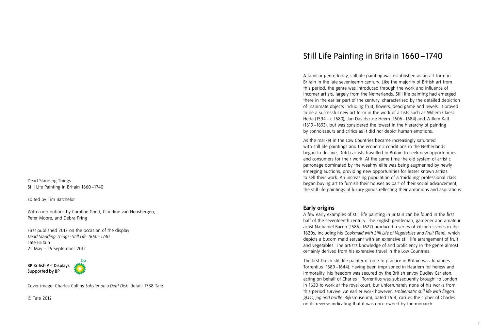Dead Standing Things Still Life Painting in Britain 1660 –1740

Edited by Tim Batchelor

With contributions by Caroline Good, Claudine van Hensbergen, Peter Moore, and Debra Pring

First published 2012 on the occasion of the display *Dead Standing Things: Still Life 1660 –1740* Tate Britain 21 May – 16 September 2012

**BP British Art Displays** Supported by BP



Cover image: Charles Collins *Lobster on a Delft Dish* (detail) 1738 Tate

© Tate 2012

# Still Life Painting in Britain 1660 –1740

A familiar genre today, still life painting was established as an art form in Britain in the late seventeenth century. Like the majority of British art from this period, the genre was introduced through the work and influence of incomer artists, largely from the Netherlands. Still life painting had emerged there in the earlier part of the century, characterised by the detailed depiction of inanimate objects including fruit, flowers, dead game and jewels. It proved to be a successful new art form in the work of artists such as Willem Claesz Heda (1594 – c.1680), Jan Davidsz de Heem (1606 –1684) and Willem Kalf (1619 –1693), but was considered the lowest in the hierarchy of painting by connoisseurs and critics as it did not depict human emotions.

As the market in the Low Countries became increasingly saturated with still life paintings and the economic conditions in the Netherlands began to decline, Dutch artists travelled to Britain to seek new opportunities and consumers for their work. At the same time the old system of artistic patronage dominated by the wealthy elite was being augmented by newly emerging auctions, providing new opportunities for lesser known artists to sell their work. An increasing population of a 'middling' professional class began buying art to furnish their houses as part of their social advancement, the still life paintings of luxury goods reflecting their ambitions and aspirations.

#### **Early origins**

A few early examples of still life painting in Britain can be found in the first half of the seventeenth century. The English gentleman, gardener and amateur artist Nathaniel Bacon (1585 –1627) produced a series of kitchen scenes in the 1620s, including his *Cookmaid with Still Life of Vegetables and Fruit* (Tate), which depicts a buxom maid servant with an extensive still life arrangement of fruit and vegetables. The artist's knowledge of and proficiency in the genre almost certainly derived from his extensive travel in the Low Countries.

The first Dutch still life painter of note to practice in Britain was Johannes Torrentius (1589 –1644). Having been imprisoned in Haarlem for heresy and immorality, his freedom was secured by the British envoy Dudley Carleton, acting on behalf of Charles I. Torrentius was subsequently brought to London in 1630 to work at the royal court, but unfortunately none of his works from this period survive. An earlier work however, *Emblematic still life with flagon, glass, jug and bridle* (Rijksmuseum), dated 1614, carries the cipher of Charles I on its reverse indicating that it was once owned by the monarch.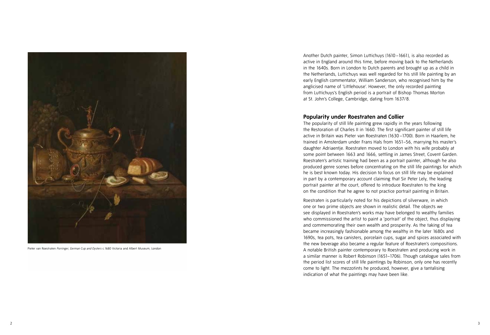

Pieter van Roestraten *Porringer, German Cup and Oysters* c.1680 Victoria and Albert Museum, London

Another Dutch painter, Simon Luttichuys (1610 –1661), is also recorded as active in England around this time, before moving back to the Netherlands in the 1640s. Born in London to Dutch parents and brought up as a child in the Netherlands, Luttichuys was well regarded for his still life painting by an early English commentator, William Sanderson, who recognised him by the anglicised name of 'Littlehouse'. However, the only recorded painting from Luttichuys's English period is a portrait of Bishop Thomas Morton at St. John's College, Cambridge, dating from 1637/8.

### **Popularity under Roestraten and Collier**

The popularity of still life painting grew rapidly in the years following the Restoration of Charles II in 1660. The first significant painter of still life active in Britain was Pieter van Roestraten (1630 –1700). Born in Haarlem, he trained in Amsterdam under Frans Hals from 1651–56, marrying his master's daughter Adriaentje. Roestraten moved to London with his wife probably at some point between 1663 and 1666, settling in James Street, Covent Garden. Roestraten's artistic training had been as a portrait painter, although he also produced genre scenes before concentrating on the still life paintings for which he is best known today. His decision to focus on still life may be explained in part by a contemporary account claiming that Sir Peter Lely, the leading portrait painter at the court, offered to introduce Roestraten to the king on the condition that he agree to not practice portrait painting in Britain.

Roestraten is particularly noted for his depictions of silverware, in which one or two prime objects are shown in realistic detail. The objects we see displayed in Roestraten's works may have belonged to wealthy families who commissioned the artist to paint a 'portrait' of the object, thus displaying and commemorating their own wealth and prosperity. As the taking of tea became increasingly fashionable among the wealthy in the later 1680s and 1690s, tea pots, tea canisters, porcelain cups, sugar and spices associated with the new beverage also became a regular feature of Roestraten's compositions. A notable British painter contemporary to Roestraten and producing work in a similar manner is Robert Robinson (1651–1706). Though catalogue sales from the period list scores of still life paintings by Robinson, only one has recently come to light. The mezzotints he produced, however, give a tantalising indication of what the paintings may have been like.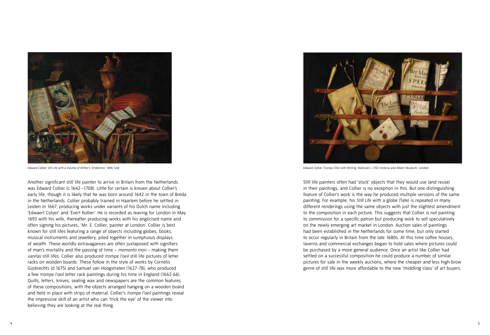

Another significant still life painter to arrive in Britain from the Netherlands was Edward Collier (c.1642 –1708). Little for certain is known about Collier's early life, though it is likely that he was born around 1642 in the town of Breda in the Netherlands. Collier probably trained in Haarlem before he settled in Leiden in 1667, producing works under variants of his Dutch name including 'Edwaert Colyer' and 'Evert Kollier'. He is recorded as leaving for London in May 1693 with his wife, thereafter producing works with his anglicised name and often signing his pictures, 'Mr. E. Collier, painter at London'. Collier is best known for still lifes featuring a range of objects including globes, books, musical instruments and jewellery, piled together in sumptuous displays of wealth. These worldly extravagances are often juxtaposed with signifiers of man's mortality and the passing of time – *memento mori* – making them *vanitas* still lifes. Collier also produced *trompe l'oeil* still life pictures of letter racks on wooden boards. These follow in the style of works by Cornelis Gijsbrechts (d.1675) and Samuel van Hoogstraten (1627-78), who produced a few *trompe l'oeil* letter rack paintings during his time in England (1662-66). Quills, letters, knives, sealing wax and newspapers are the common features of these compositions, with the objects arranged hanging on a wooden board and held in place with strips of material. Collier's *trompe l'oeil* paintings reveal the impressive skill of an artist who can 'trick the eye' of the viewer into believing they are looking at the real thing.



Edward Collier Trompe l'Oeil with a Volume of Wither's 'Emblemes' 1696 Tate Edward Collier Trompe and Albert Museum, London London London London London Collier *Trompe l'Oeil with Writing Materials* c.1702 Victoria and Alb

Still life painters often had 'stock' objects that they would use (and reuse) in their paintings, and Collier is no exception in this. But one distinguishing feature of Collier's work is the way he produced multiple versions of the same painting. For example, his *Still Life* with a globe (Tate) is repeated in many different renderings using the same objects with just the slightest amendment to the composition in each picture. This suggests that Collier is not painting to commission for a specific patron but producing work to sell speculatively on the newly emerging art market in London. Auction sales of paintings had been established in the Netherlands for some time, but only started to occur regularly in Britain from the late 1680s. At this time coffee houses, taverns and commercial exchanges began to hold sales where pictures could be purchased by a more general audience. Once an artist like Collier had settled on a successful composition he could produce a number of similar pictures for sale in the weekly auctions, where the cheaper and less high-brow genre of still life was more affordable to the new 'middling class' of art buyers.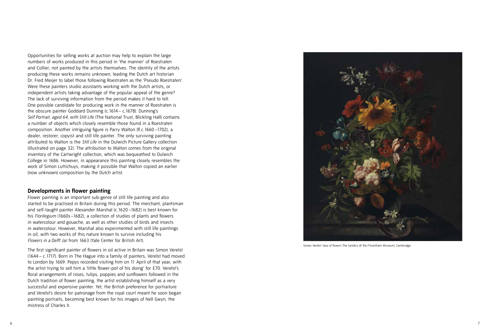Opportunities for selling works at auction may help to explain the large numbers of works produced in this period in 'the manner' of Roestraten and Collier, not painted by the artists themselves. The identity of the artists producing these works remains unknown, leading the Dutch art historian Dr. Fred Meijer to label those following Roestraten as the 'Pseudo Roestraten'. Were these painters studio assistants working with the Dutch artists, or independent artists taking advantage of the popular appeal of the genre? The lack of surviving information from the period makes it hard to tell. One possible candidate for producing work in the manner of Roestraten is the obscure painter Goddard Dunning (c.1614 – c.1678). Dunning's *Self Portrait, aged 64, with Still Life* (The National Trust, Blickling Hall) contains a number of objects which closely resemble those found in a Roestraten composition. Another intriguing figure is Parry Walton (fl.c.1660 –1702), a dealer, restorer, copyist and still life painter. The only surviving painting attributed to Walton is the *Still Life* in the Dulwich Picture Gallery collection (illustrated on page 32). The attribution to Walton comes from the original inventory of the Cartwright collection, which was bequeathed to Dulwich College in 1686. However, in appearance this painting closely resembles the work of Simon Luttichuys, making it possible that Walton copied an earlier (now unknown) composition by the Dutch artist.

#### **Developments in flower painting**

Flower painting is an important sub-genre of still life painting and also started to be practised in Britain during this period. The merchant, plantsman and self-taught painter Alexander Marshal (c.1620 –1682) is best known for his *Florilegium* (1660s –1682), a collection of studies of plants and flowers in watercolour and gouache, as well as other studies of birds and insects in watercolour. However, Marshal also experimented with still life paintings in oil, with two works of this nature known to survive including his *Flowers in a Delft Jar* from 1663 (Yale Center for British Art).

The first significant painter of flowers in oil active in Britain was Simon Verelst (1644 – c.1717). Born in The Hague into a family of painters, Verelst had moved to London by 1669. Pepys recorded visiting him on 11 April of that year, with the artist trying to sell him a 'little flower-pot of his doing' for £70. Verelst's floral arrangements of roses, tulips, poppies and sunflowers followed in the Dutch tradition of flower painting, the artist establishing himself as a very successful and expensive painter. Yet, the British preference for portraiture and Verelst's desire for patronage from the royal court meant he soon began painting portraits, becoming best known for his images of Nell Gwyn, the mistress of Charles II.



Simon Verelst *Vase of flowers* The Syndics of the Fitzwilliam Museum, Cambridge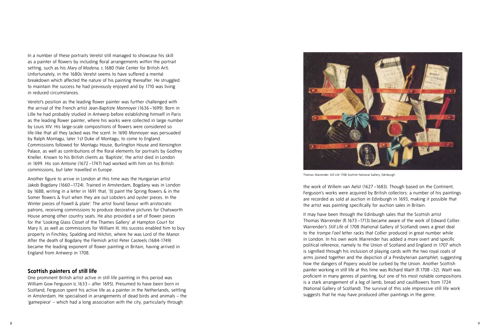In a number of these portraits Verelst still managed to showcase his skill as a painter of flowers by including floral arrangements within the portrait setting, such as his *Mary of Modena*, c.1680 (Yale Center for British Art). Unfortunately, in the 1680s Verelst seems to have suffered a mental breakdown which affected the nature of his painting thereafter. He struggled to maintain the success he had previously enjoyed and by 1710 was living in reduced circumstances.

Verelst's position as the leading flower painter was further challenged with the arrival of the French artist Jean-Baptiste Monnoyer (1636 –1699). Born in Lille he had probably studied in Antwerp before establishing himself in Paris as the leading flower painter, where his works were collected in large number by Louis XIV. His large-scale compositions of flowers were considered so life-like that all they lacked was the scent. In 1690 Monnoyer was persuaded by Ralph Montagu, later 1st Duke of Montagu, to come to England. Commissions followed for Montagu House, Burlington House and Kensington Palace, as well as contributions of the floral elements for portraits by Godfrey Kneller. Known to his British clients as 'Baptiste', the artist died in London in 1699. His son Antoine (1672 –1747) had worked with him on his British commissions, but later travelled in Europe.

Another figure to arrive in London at this time was the Hungarian artist Jakob Bogdany (1660 –1724). Trained in Amsterdam, Bogdany was in London by 1688, writing in a letter in 1691 that, '[I] paint the Spring flowers & in the Somer flowers & fruit when they are out Lobsters and oyster pieces. In the Winter pieces of Fowell & plate'. The artist found favour with aristocratic patrons, receiving commissions to produce decorative pictures for Chatsworth House among other country seats. He also provided a set of flower pieces for the 'Looking Glass Closet of the Thames Gallery' at Hampton Court for Mary II, as well as commissions for William III. His success enabled him to buy property in Finchley, Spalding and Hitchin, where he was Lord of the Manor. After the death of Bogdany the Flemish artist Peter Casteels (1684-1749) became the leading exponent of flower painting in Britain, having arrived in England from Antwerp in 1708.

### **Scottish painters of still life**

One prominent British artist active in still life painting in this period was William Gow Ferguson (c.1633 – after 1695). Presumed to have been born in Scotland, Ferguson spent his active life as a painter in the Netherlands, settling in Amsterdam. He specialised in arrangements of dead birds and animals – the 'gamepiece' – which had a long association with the city, particularly through



Thomas Warrender *Still Life* 1708 Scottish National Gallery, Edinburgh

the work of Willem van Aelst (1627 –1683). Though based on the Continent, Ferguson's works were acquired by British collectors: a number of his paintings are recorded as sold at auction in Edinburgh in 1693, making it possible that the artist was painting specifically for auction sales in Britain.

It may have been through the Edinburgh sales that the Scottish artist Thomas Warrender (fl.1673 –1713) became aware of the work of Edward Collier. Warrender's *Still Life* of 1708 (National Gallery of Scotland) owes a great deal to the *trompe l'oeil* letter racks that Collier produced in great number while in London. In his own work Warrender has added a more overt and specific political reference, namely to the Union of Scotland and England in 1707 which is signified through his inclusion of playing cards with the two royal coats of arms joined together and the depiction of a Presbyterian pamphlet, suggesting how the dangers of Popery would be curbed by the Union. Another Scottish painter working in still life at this time was Richard Waitt (fl.1708 –32). Waitt was proficient in many genres of painting, but one of his most notable compositions is a stark arrangement of a leg of lamb, bread and cauliflowers from 1724 (National Gallery of Scotland). The survival of this sole impressive still life work suggests that he may have produced other paintings in the genre.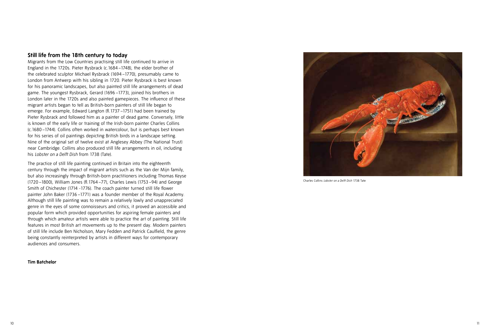### **Still life from the 18th century to today**

Migrants from the Low Countries practising still life continued to arrive in England in the 1720s. Pieter Rysbrack (c.1684 –1748), the elder brother of the celebrated sculptor Michael Rysbrack (1694 –1770), presumably came to London from Antwerp with his sibling in 1720. Pieter Rysbrack is best known for his panoramic landscapes, but also painted still life arrangements of dead game. The youngest Rysbrack, Gerard (1696 –1773), joined his brothers in London later in the 1720s and also painted gamepieces. The influence of these migrant artists began to tell as British-born painters of still life began to emerge. For example, Edward Langton (fl.1737 –1751) had been trained by Pieter Rysbrack and followed him as a painter of dead game. Conversely, little is known of the early life or training of the Irish-born painter Charles Collins (c.1680 –1744). Collins often worked in watercolour, but is perhaps best known for his series of oil paintings depicting British birds in a landscape setting. Nine of the original set of twelve exist at Anglesey Abbey (The National Trust) near Cambridge. Collins also produced still life arrangements in oil, including his *Lobster on a Delft Dish* from 1738 (Tate).

The practice of still life painting continued in Britain into the eighteenth century through the impact of migrant artists such as the Van der Mijn family, but also increasingly through British-born practitioners including Thomas Keyse (1720 –1800), William Jones (fl.1764 –77), Charles Lewis (1753 –94) and George Smith of Chichester (1714 -1776). The coach painter turned still life flower painter John Baker (1736 –1771) was a founder member of the Royal Academy. Although still life painting was to remain a relatively lowly and unappreciated genre in the eyes of some connoisseurs and critics, it proved an accessible and popular form which provided opportunities for aspiring female painters and through which amateur artists were able to practice the art of painting. Still life features in most British art movements up to the present day. Modern painters of still life include Ben Nicholson, Mary Fedden and Patrick Caulfield, the genre being constantly reinterpreted by artists in different ways for contemporary audiences and consumers.

#### **Tim Batchelor**



Charles Collins *Lobster on a Delft Dish* 1738 Tate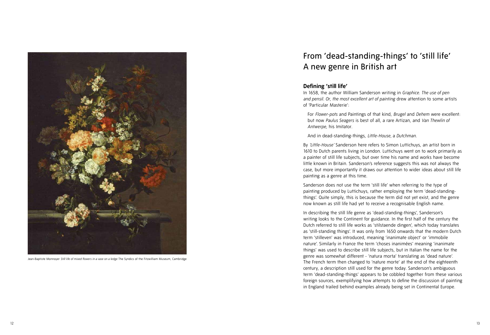

Jean-Baptiste Monnoyer *Still life of mixed flowers in a vase on a ledge* The Syndics of the Fitzwilliam Museum, Cambridge

# From 'dead-standing-things' to 'still life' A new genre in British art

### **Defining 'still life'**

In 1658, the author William Sanderson writing in *Graphice. The use of pen and pensil. Or, the most excellent art of painting* drew attention to some artists of 'Particular Masterie':

For *Flower-pots* and Paintings of that kind, *Brugel* and *Dehem* were excellent: but now *Paulus Seagers* is best of all, a rare Artizan, and *Van Thewlin of Antwerpe*, his Imitator.

And in dead-standing-things, *Little-House,* a *Dutchman*.

By *'Little-House'* Sanderson here refers to Simon Luttichuys, an artist born in 1610 to Dutch parents living in London. Luttichuys went on to work primarily as a painter of still life subjects, but over time his name and works have become little known in Britain. Sanderson's reference suggests this was not always the case, but more importantly it draws our attention to wider ideas about still life painting as a genre at this time.

Sanderson does not use the term 'still life' when referring to the type of painting produced by Luttichuys, rather employing the term 'dead-standingthings'. Quite simply, this is because the term did not yet exist, and the genre now known as still life had yet to receive a recognisable English name.

In describing the still life genre as 'dead-standing-things', Sanderson's writing looks to the Continent for guidance. In the first half of the century the Dutch referred to still life works as 'stilstaende dingen', which today translates as 'still-standing things'. It was only from 1650 onwards that the modern Dutch term 'stilleven' was introduced, meaning 'inanimate object' or 'immobile nature'. Similarly in France the term 'choses inanimées' meaning 'inanimate things' was used to describe still life subjects, but in Italian the name for the genre was somewhat different - 'natura morta' translating as 'dead nature'. The French term then changed to 'nature morte' at the end of the eighteenth century, a description still used for the genre today. Sanderson's ambiguous term 'dead-standing-things' appears to be cobbled together from these various foreign sources, exemplifying how attempts to define the discussion of painting in England trailed behind examples already being set in Continental Europe.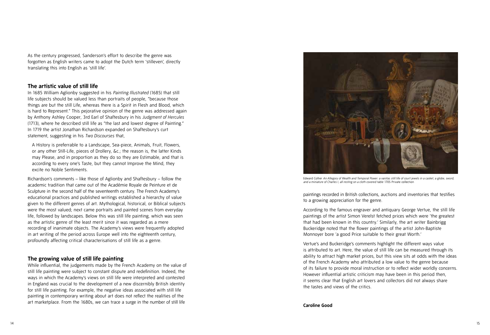As the century progressed, Sanderson's effort to describe the genre was forgotten as English writers came to adopt the Dutch term 'stilleven', directly translating this into English as 'still life'.

### **The artistic value of still life**

In 1685 William Aglionby suggested in his *Painting Illustrated* (1685) that still life subjects should be valued less than portraits of people, "because those things are but the still Life, whereas there is a Spirit in Flesh and Blood, which is hard to Represent." This pejorative opinion of the genre was addressed again by Anthony Ashley Cooper, 3rd Earl of Shaftesbury in his *Judgment of Hercules* (1713), where he described still life as "the last and lowest degree of Painting." In 1719 the artist Jonathan Richardson expanded on Shaftesbury's curt statement, suggesting in his *Two Discourses* that,

A History is preferrable to a Landscape, Sea-piece, Animals, Fruit, Flowers, or any other Still-Life, pieces of Drollery, &c.; the reason is, the latter Kinds may Please, and in proportion as they do so they are Estimable, and that is according to every one's Taste, but they cannot Improve the Mind, they excite no Noble Sentiments.

Richardson's comments – like those of Aglionby and Shaftesbury – follow the academic tradition that came out of the Académie Royale de Peinture et de Sculpture in the second half of the seventeenth century. The French Academy's educational practices and published writings established a hierarchy of value given to the different genres of art. Mythological, historical, or Biblical subjects were the most valued; next came portraits and painted scenes from everyday life, followed by landscapes. Below this was still life painting, which was seen as the artistic genre of the least merit since it was regarded as a mere recording of inanimate objects. The Academy's views were frequently adopted in art writing of the period across Europe well into the eighteenth century, profoundly affecting critical characterisations of still life as a genre.

### **The growing value of still life painting**

While influential, the judgements made by the French Academy on the value of still life painting were subject to constant dispute and redefinition. Indeed, the ways in which the Academy's views on still life were interpreted and contested in England was crucial to the development of a new discernibly British identity for still life painting. For example, the negative ideas associated with still life painting in contemporary writing about art does not reflect the realities of the art marketplace. From the 1680s, we can trace a surge in the number of still life



Edward Collier *An Allegory of Wealth and Temporal Power: a vanitas still life of court jewels in a casket, a globe, sword, and a miniature of Charles I, all resting on a cloth covered table* 1705 Private collection

paintings recorded in British collections, auctions and inventories that testifies to a growing appreciation for the genre.

According to the famous engraver and antiquary George Vertue, the still life paintings of the artist Simon Verelst fetched prices which were 'the greatest that had been known in this country.' Similarly, the art writer Bainbrigg Buckeridge noted that the flower paintings of the artist John-Baptiste Monnoyer bore 'a good Price suitable to their great Worth.'

Vertue's and Buckeridge's comments highlight the different ways value is attributed to art. Here, the value of still life can be measured through its ability to attract high market prices, but this view sits at odds with the ideas of the French Academy who attributed a low value to the genre because of its failure to provide moral instruction or to reflect wider worldly concerns. However influential artistic criticism may have been in this period then, it seems clear that English art lovers and collectors did not always share the tastes and views of the critics.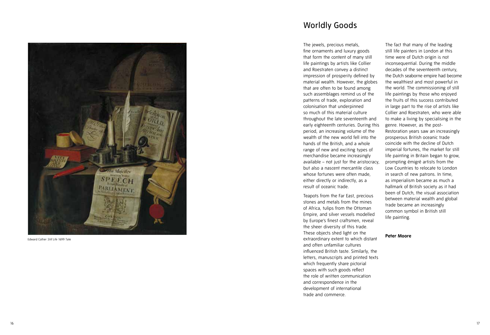

Edward Collier *Still Life* 1699 Tate

# Worldly Goods

The jewels, precious metals, fine ornaments and luxury goods that form the content of many still life paintings by artists like Collier and Roestraten convey a distinct impression of prosperity defined by material wealth. However, the globes that are often to be found among such assemblages remind us of the patterns of trade, exploration and colonisation that underpinned so much of this material culture throughout the late seventeenth and early eighteenth centuries. During this period, an increasing volume of the wealth of the new world fell into the hands of the British, and a whole range of new and exciting types of merchandise became increasingly available – not just for the aristocracy, but also a nascent mercantile class whose fortunes were often made, either directly or indirectly, as a result of oceanic trade.

Teapots from the Far East, precious stones and metals from the mines of Africa, tulips from the Ottoman Empire, and silver vessels modelled by Europe's finest craftsmen, reveal the sheer diversity of this trade. These objects shed light on the extraordinary extent to which distant and often unfamiliar cultures influenced British taste. Similarly, the letters, manuscripts and printed texts which frequently share pictorial spaces with such goods reflect the role of written communication and correspondence in the development of international trade and commerce.

The fact that many of the leading still life painters in London at this time were of Dutch origin is not inconsequential. During the middle decades of the seventeenth century, the Dutch seaborne empire had become the wealthiest and most powerful in the world. The commissioning of still life paintings by those who enjoyed the fruits of this success contributed in large part to the rise of artists like Collier and Roestraten, who were able to make a living by specialising in the genre. However, as the post-Restoration years saw an increasingly prosperous British oceanic trade coincide with the decline of Dutch imperial fortunes, the market for still life painting in Britain began to grow, prompting émigré artists from the Low Countries to relocate to London in search of new patrons. In time, as imperialism became as much a hallmark of British society as it had been of Dutch, the visual association between material wealth and global trade became an increasingly common symbol in British still life painting.

#### **Peter Moore**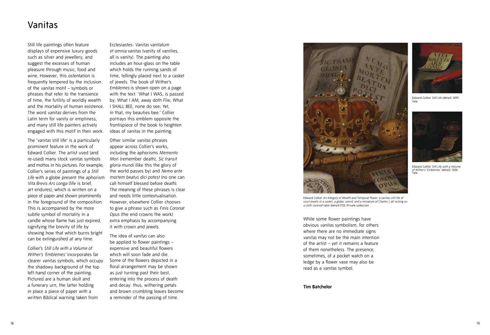# Vanitas

Still life paintings often feature displays of expensive luxury goods such as silver and jewellery, and suggest the excesses of human pleasure through music, food and wine. However, this ostentation is frequently tempered by the inclusion of the *vanitas* motif – symbols or phrases that refer to the transience of time, the futility of worldly wealth and the mortality of human existence. The word *vanitas* derives from the Latin term for vanity or emptiness, and many still life painters actively engaged with this motif in their work.

The '*vanitas* still life' is a particularly prominent feature in the work of Edward Collier. The artist used (and re-used) many stock *vanitas* symbols and mottos in his pictures. For example, Collier's series of paintings of a *Still Life* with a globe present the aphorism *Vita Brevis Ars Longa* (life is brief, art endures), which is written on a piece of paper and shown prominently in the foreground of the composition. This is accompanied by the more subtle symbol of mortality in a candle whose flame has just expired, signifying the brevity of life by showing how that which burns bright can be extinguished at any time.

Collier's *Still Life with a Volume of Wither's 'Emblemes'* incorporates far clearer *vanitas* symbols, which occupy the shadowy background of the top left-hand corner of the painting. Pictured are a human skull and a funerary urn, the latter holding in place a piece of paper with a written Biblical warning taken from

Ecclesiastes: *Vanitas vanitatum et omnia vanitas* (vanity of vanities, all is vanity). The painting also includes an hour-glass on the table which holds the running sands of time, tellingly placed next to a casket of jewels. The book of Wither's *Emblemes* is shown open on a page with the text: 'What I WAS, is passed by; What I AM, away doth Flie; What I SHALL BEE, none do see; Yet, in that, my beauties bee.' Collier portrays this emblem opposite the frontispiece of the book to heighten ideas of *vanitas* in the painting.

Other similar *vanitas* phrases appear across Collier's works, including the aphorisms *Memento Mor*i (remember death), *Sic transit gloria mundi* (like this the glory of the world passes by) and *Nemo ante mortem beatus dici potest* (no one can call himself blessed before death). The meaning of these phrases is clear and needs little contextualisation. However, elsewhere Collier chooses to give a phrase such as *Finis Coronat Opus* (the end crowns the work) extra emphasis by accompanying it with crown and jewels.

The idea of *vanitas* can also be applied to flower paintings – expensive and beautiful flowers which will soon fade and die. Some of the flowers depicted in a floral arrangement may be shown as just turning past their best, entering into the process of death and decay: thus, withering petals and brown crumbling leaves become a reminder of the passing of time.





Edward Collier *Still Life* (detail) 1699 Tate



Edward Collier *Still Life with a Volume of Wither's 'Emblemes'* (detail) 1696 Tate

Edward Collier *An Allegory of Wealth and Temporal Power: a vanitas still life of court jewels in a casket, a globe, sword, and a miniature of Charles I, all resting on a cloth covered table* (detail)1705 Private collection

While some flower paintings have obvious *vanitas* symbolism, for others where there are no immediate signs *vanitas* may not be the main intention of the artist – yet it remains a feature of them nonetheless. The presence, sometimes, of a pocket watch on a ledge by a flower vase may also be read as a *vanitas* symbol.

#### **Tim Batchelor**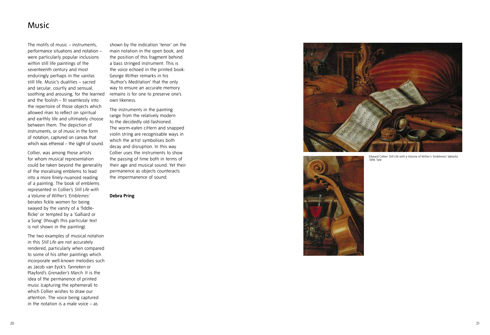### Music

The motifs of music – instruments, performance situations and notation – were particularly popular inclusions within still life paintings of the seventeenth century and most enduringly perhaps in the *vanitas* still life. Music's dualities – sacred and secular, courtly and sensual, soothing and arousing, for the learned and the foolish – fit seamlessly into the repertoire of those objects which allowed man to reflect on spiritual and earthly life and ultimately choose between them. The depiction of instruments, or of music in the form of notation, captured on canvas that which was ethereal – the sight of sound.

Collier, was among those artists for whom musical representation could be taken beyond the generality of the moralising emblems to lead into a more finely-nuanced reading of a painting. The book of emblems represented in Collier's *Still Life with a Volume of Wither's 'Emblemes'*  berates fickle women for being swayed by the vanity of a 'fiddleflicke' or tempted by a 'Galliard or a Song' (though this particular text is not shown in the painting).

The two examples of musical notation in this *Still Life* are not accurately rendered, particularly when compared to some of his other paintings which incorporate well-known melodies such as Jacob van Eyck's *Tanneken* or Playford's *Grenadier's March*. It is the idea of the permanence of printed music (capturing the ephemeral) to which Collier wishes to draw our attention. The voice being captured in the notation is a male voice – as

shown by the indication 'tenor' on the main notation in the open book, and the position of this fragment behind a bass stringed instrument. This is the voice echoed in the printed book: George Wither remarks in his 'Author's Meditation' that the only way to ensure an accurate memory remains is for one to preserve one's own likeness.

The instruments in the painting range from the relatively modern to the decidedly old-fashioned. The worm-eaten cittern and snapped violin string are recognisable ways in which the artist symbolises both decay and disruption. In this way Collier uses the instruments to show the passing of time both in terms of their age and musical sound. Yet their permanence as objects counteracts the impermanence of sound.

**Debra Pring** 





Edward Collier *Still Life with a Volume of Wither's 'Emblemes'* (details) 1696 Tate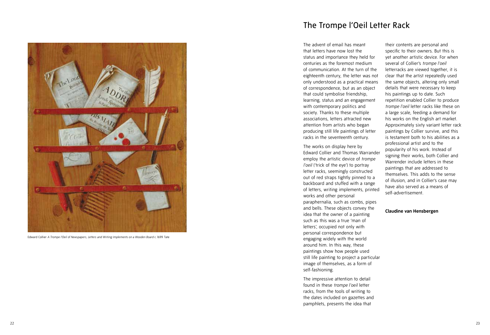

Edward Collier *A Trompe l'Oeil of Newspapers, Letters and Writing Implements on a Wooden Board* c.1699 Tate

## The Trompe l'Oeil Letter Rack

The advent of email has meant that letters have now lost the status and importance they held for centuries as the foremost medium of communication. At the turn of the eighteenth century, the letter was not only understood as a practical means of correspondence, but as an object that could symbolise friendship, learning, status and an engagement with contemporary politics and society. Thanks to these multiple associations, letters attracted new attention from artists who began producing still life paintings of letter racks in the seventeenth century.

The works on display here by Edward Collier and Thomas Warrander employ the artistic device of *trompe l'oeil* ('trick of the eye') to portray letter racks, seemingly constructed out of red straps tightly pinned to a backboard and stuffed with a range of letters, writing implements, printed works and other personal paraphernalia, such as combs, pipes and bells. These objects convey the idea that the owner of a painting such as this was a true 'man of letters', occupied not only with personal correspondence but engaging widely with the world around him. In this way, these paintings show how people used still life painting to project a particular image of themselves, as a form of self-fashioning.

The impressive attention to detail found in these *trompe l'oeil* letter racks, from the tools of writing to the dates included on gazettes and pamphlets, presents the idea that

their contents are personal and specific to their owners. But this is yet another artistic device. For when several of Collier's *trompe l'oeil* letterracks are viewed together, it is clear that the artist repeatedly used the same objects, altering only small details that were necessary to keep his paintings up to date. Such repetition enabled Collier to produce *trompe l'oeil* letter racks like these on a large scale, feeding a demand for his works on the English art market. Approximately sixty variant letter rack paintings by Collier survive, and this is testament both to his abilities as a professional artist and to the popularity of his work. Instead of signing their works, both Collier and Warrender include letters in these paintings that are addressed to themselves. This adds to the sense of illusion, and in Collier's case may have also served as a means of self-advertisement.

#### **Claudine van Hensbergen**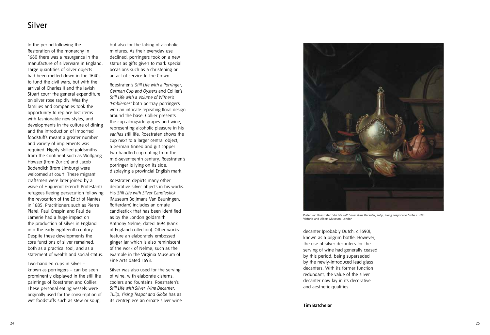### Silver

In the period following the Restoration of the monarchy in 1660 there was a resurgence in the manufacture of silverware in England. Large quantities of silver objects had been melted down in the 1640s to fund the civil wars, but with the arrival of Charles II and the lavish Stuart court the general expenditure on silver rose rapidly. Wealthy families and companies took the opportunity to replace lost items with fashionable new styles, and developments in the culture of dining and the introduction of imported foodstuffs meant a greater number and variety of implements was required. Highly skilled goldsmiths from the Continent such as Wolfgang Howzer (from Zurich) and Jacob Bodendick (from Limburg) were welcomed at court. These migrant craftsmen were later joined by a wave of Huguenot (French Protestant) refugees fleeing persecution following the revocation of the Edict of Nantes in 1685. Practitioners such as Pierre Platel, Paul Crespin and Paul de Lamerie had a huge impact on the production of silver in England into the early eighteenth century. Despite these developments the core functions of silver remained: both as a practical tool, and as a statement of wealth and social status.

Two-handled cups in silver – known as porringers – can be seen prominently displayed in the still life paintings of Roestraten and Collier. These personal eating vessels were originally used for the consumption of wet foodstuffs such as stew or soup,

but also for the taking of alcoholic mixtures. As their everyday use declined, porringers took on a new status as gifts given to mark special occasions such as a christening or an act of service to the Crown.

Roestraten's *Still Life with a Porringer, German Cup and Oysters* and Collier's *Still Life with a Volume of Wither's 'Emblemes'* both portray porringers with an intricate repeating floral design around the base. Collier presents the cup alongside grapes and wine, representing alcoholic pleasure in his *vanitas* still life. Roestraten shows the cup next to a larger central object, a German tinned and gilt copper two-handled cup dating from the mid-seventeenth century. Roestraten's porringer is lying on its side, displaying a provincial English mark.

Roestraten depicts many other decorative silver objects in his works. His *Still Life with Silver Candlestick* (Museum Boijmans Van Beuningen, Rotterdam) includes an ornate candlestick that has been identified as by the London goldsmith Anthony Nelme, dated 1694 (Bank of England collection). Other works feature an elaborately embossed ginger jar which is also reminiscent of the work of Nelme, such as the example in the Virginia Museum of Fine Arts dated 1693.

Silver was also used for the serving of wine, with elaborate cisterns, coolers and fountains. Roestraten's *Still Life with Silver Wine Decanter, Tulip, Yixing Teapot and Globe* has as its centrepiece an ornate silver wine



Pieter van Roestraten *Still Life with Silver Wine Decanter, Tulip, Yixing Teapot and Globe* c.1690 Victoria and Albert Museum, London

decanter (probably Dutch, c.1690), known as a pilgrim bottle. However, the use of silver decanters for the serving of wine had generally ceased by this period, being superseded by the newly-introduced lead glass decanters. With its former function redundant, the value of the silver decanter now lay in its decorative and aesthetic qualities.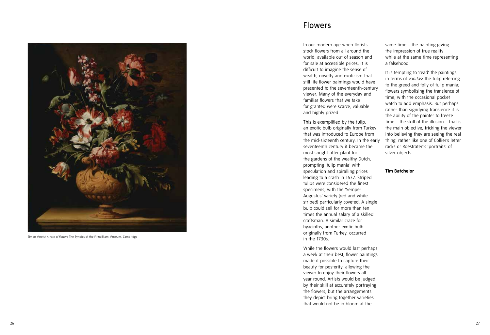

Simon Verelst *A vase of flowers* The Syndics of the Fitzwilliam Museum, Cambridge

### Flowers

In our modern age when florists stock flowers from all around the world, available out of season and for sale at accessible prices, it is difficult to imagine the sense of wealth, novelty and exoticism that still life flower paintings would have presented to the seventeenth-century viewer. Many of the everyday and familiar flowers that we take for granted were scarce, valuable and highly prized.

This is exemplified by the tulip, an exotic bulb originally from Turkey that was introduced to Europe from the mid-sixteenth century. In the early seventeenth century it became the most sought-after plant for the gardens of the wealthy Dutch, prompting 'tulip mania' with speculation and spiralling prices leading to a crash in 1637. Striped tulips were considered the finest specimens, with the 'Semper Augustus' variety (red and white striped) particularly coveted. A single bulb could sell for more than ten times the annual salary of a skilled craftsman. A similar craze for hyacinths, another exotic bulb originally from Turkey, occurred in the 1730s.

While the flowers would last perhaps a week at their best, flower paintings made it possible to capture their beauty for posterity, allowing the viewer to enjoy their flowers all year round. Artists would be judged by their skill at accurately portraying the flowers, but the arrangements they depict bring together varieties that would not be in bloom at the

same time – the painting giving the impression of true reality while at the same time representing a falsehood.

It is tempting to 'read' the paintings in terms of *vanitas*: the tulip referring to the greed and folly of tulip mania; flowers symbolising the transience of time, with the occasional pocket watch to add emphasis. But perhaps rather than signifying transience it is the ability of the painter to freeze time – the skill of the illusion – that is the main objective, tricking the viewer into believing they are seeing the real thing, rather like one of Collier's letter racks or Roestraten's 'portraits' of silver objects.

#### **Tim Batchelor**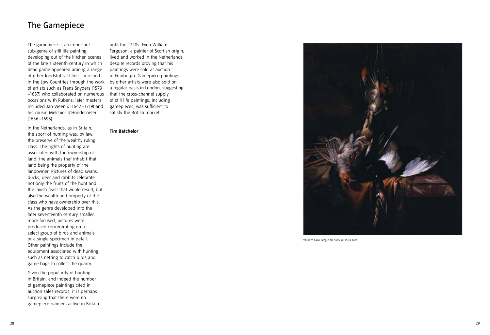The gamepiece is an important sub-genre of still life painting, developing out of the kitchen scenes of the late sixteenth century in which dead game appeared among a range of other foodstuffs. It first flourished in the Low Countries through the work of artists such as Frans Snyders (1579 –1657) who collaborated on numerous occasions with Rubens; later masters included Jan Weenix (1642 –1719) and his cousin Melchior d'Hondecoeter (1636 –1695).

In the Netherlands, as in Britain, the sport of hunting was, by law, the preserve of the wealthy ruling class. The rights of hunting are associated with the ownership of land: the animals that inhabit that land being the property of the landowner. Pictures of dead swans, ducks, deer and rabbits celebrate not only the fruits of the hunt and the lavish feast that would result, but also the wealth and property of the class who have ownership over this. As the genre developed into the later seventeenth century smaller, more focused, pictures were produced concentrating on a select group of birds and animals or a single specimen in detail. Other paintings include the equipment associated with hunting, such as netting to catch birds and game bags to collect the quarry.

Given the popularity of hunting in Britain, and indeed the number of gamepiece paintings cited in auction sales records, it is perhaps surprising that there were no gamepiece painters active in Britain

until the 1720s. Even William Ferguson, a painter of Scottish origin, lived and worked in the Netherlands despite records proving that his paintings were sold at auction in Edinburgh. Gamepiece paintings by other artists were also sold on a regular basis in London, suggesting that the cross-channel supply of still life paintings, including gamepieces, was sufficient to satisfy the British market.

#### **Tim Batchelor**



William Gow Ferguson *Still Life* 1684 Tate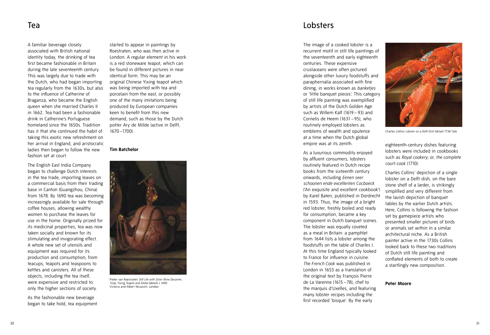### Tea

A familiar beverage closely associated with British national identity today, the drinking of tea first became fashionable in Britain during the late seventeenth century. This was largely due to trade with the Dutch, who had began importing tea regularly from the 1630s, but also to the influence of Catherine of Braganza, who became the English queen when she married Charles II in 1662. Tea had been a fashionable drink in Catherine's Portuguese homeland since the 1650s. Tradition has it that she continued the habit of taking this exotic new refreshment on her arrival in England, and aristocratic ladies then began to follow the new fashion set at court.

The English East India Company began to challenge Dutch interests in the tea trade, importing leaves on a commercial basis from their trading base in Canton (Guangzhou, China) from 1678. By 1690 tea was becoming increasingly available for sale through coffee houses, allowing wealthy women to purchase the leaves for use in the home. Originally prized for its medicinal properties, tea was now taken socially and known for its stimulating and invigorating effect. A whole new set of utensils and equipment was required for its production and consumption, from teacups, teapots and teaspoons to kettles and canisters. All of these objects, including the tea itself, were expensive and restricted to only the higher sections of society.

As the fashionable new beverage began to take hold, tea equipment started to appear in paintings by Roestraten, who was then active in London. A regular element in his work is a red stoneware teapot, which can be found in different pictures in near identical form. This may be an original Chinese Yixing teapot which was being imported with tea and porcelain from the east, or possibly one of the many imitations being produced by European companies keen to benefit from this new demand, such as those by the Dutch potter Ary de Milde (active in Delft, 1670 –1700).

**Tim Batchelor** 



Pieter van Roestraten *Still Life with Silver Wine Decanter, Tulip, Yixing Teapot and Globe* (detail) c.1690 Victoria and Albert Museum, London

### Lobsters

The image of a cooked lobster is a recurrent motif in still life paintings of the seventeenth and early eighteenth centuries. These expensive crustaceans were often pictured alongside other luxury foodstuffs and paraphernalia associated with fine dining, in works known as *banketjes* or 'little banquet pieces'. This category of still life painting was exemplified by artists of the Dutch Golden Age such as Willem Kalf (1619 – 93) and Cornelis de Heem (1631 –95), who routinely employed lobsters as emblems of wealth and opulence at a time when the Dutch global empire was at its zenith.

As a luxurious commodity enjoyed by affluent consumers, lobsters routinely featured in Dutch recipe books from the sixteenth century onwards, including *Eenen seer schoonen ende excellenten Cocboeck* ('An exquisite and excellent cookbook') by Karel Baten, published in Dordrecht in 1593. Thus, the image of a bright red lobster, freshly boiled and ready for consumption, became a key component in Dutch banquet scenes. The lobster was equally coveted as a meal in Britain: a pamphlet from 1644 lists a lobster among the foodstuffs on the table of Charles I. At this time England typically looked to France for influence in cuisine. *The French Cook* was published in London in 1653 as a translation of the original text by François Pierre de La Varenne (1615 –78), chef to the marquis d'Uxelles, and featuring many lobster recipes including the first recorded 'bisque'. By the early



Charles Collins *Lobster on a Delft Dish (detail)* 1738 Tate

eighteenth-century dishes featuring lobsters were included in cookbooks such as *Royal cookery; or, the complete court-cook* (1710).

Charles Collins' depiction of a single lobster on a Delft dish, on the bare stone shelf of a larder, is strikingly simplified and very different from the lavish depiction of banquet tables by the earlier Dutch artists. Here, Collins is following the fashion set by gamepiece artists who presented smaller pictures of birds or animals set within in a similar architectural niche. As a British painter active in the 1730s Collins looked back to these two traditions of Dutch still life painting and conflated elements of both to create a startlingly new composition.

#### **Peter Moore**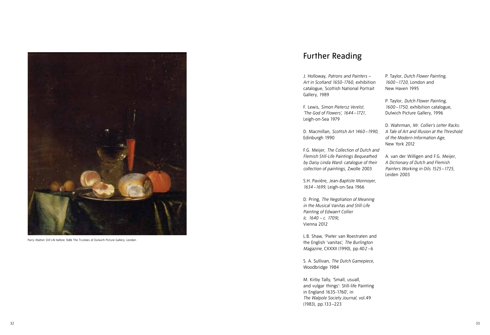

Parry Walton *Still Life* before 1686 The Trustees of Dulwich Picture Gallery, London

# Further Reading

J. Holloway, *Patrons and Painters* – *Art in Scotland 1650-1760*, exhibition catalogue, Scottish National Portrait Gallery, 1989

F. Lewis, *Simon Pietersz Verelst, 'The God of Flowers', 1644 –1721,* Leigh-on-Sea 1979

D. Macmillan, *Scottish Art 1460 –1990,*  Edinburgh 1990

F.G. Meijer, *The Collection of Dutch and Flemish Still-Life Paintings Bequeathed by Daisy Linda Ward: catalogue of their collection of paintings,* Zwolle 2003

S.H. Pavière, *Jean-Baptiste Monnoyer, 1634 –1699,* Leigh-on-Sea 1966

D. Pring, *The Negotiation of Meaning in the Musical Vanitas and Still-Life Painting of Edwaert Collier (c. 1640 – c. 1709),* Vienna 2012

L.B. Shaw, 'Pieter van Roestraten and the English 'vanitas', *The Burlington Magazine,* CXXXII (1990), pp.40*2 –* 6

S. A. Sullivan, *The Dutch Gamepiece*, Woodbridge 1984

M. Kirby Tally, 'Small, usuall, and vulgar things': Still-life Painting in England 1635-1760', in *The Walpole Society Journal,* vol.49 (1983), pp.133 –223

P. Taylor, *Dutch Flower Painting, 1600 –1720,* London and New Haven 1995

P. Taylor, *Dutch Flower Painting, 1600 –1750,* exhibition catalogue, Dulwich Picture Gallery, 1996

D. Wahrman, *Mr. Collier's Letter Racks: A Tale of Art and Illusion at the Threshold of the Modern Information Age,* New York 2012

A. van der Willigen and F.G. Meijer, *A Dictionary of Dutch and Flemish Painters Working in Oils 1525 –1725,* Leiden 2003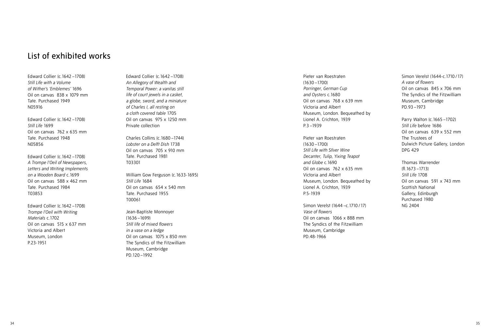# List of exhibited works

Edward Collier (c.1642 –1708) *Still Life with a Volume of Wither's 'Emblemes'* 1696 Oil on canvas 838 x 1079 mm Tate. Purchased 1949 N05916

Edward Collier (c.1642 –1708) *Still Life* 1699 Oil on canvas 762 x 635 mm Tate. Purchased 1948 N05856

Edward Collier (c.1642 –1708) *A Trompe l'Oeil of Newspapers, Letters and Writing Implements on a Wooden Board* c.1699 Oil on canvas 588 x 462 mm Tate. Purchased 1984 T03853

Edward Collier (c.1642 –1708) *Trompe l'Oeil with Writing Materials* c.1702 Oil on canvas 515 x 637 mm Victoria and Albert Museum, London P.23-1951

Edward Collier (c.1642 –1708) *An Allegory of Wealth and Temporal Power: a vanitas still life of court jewels in a casket, a globe, sword, and a miniature of Charles I, all resting on a cloth covered table* 1705 Oil on canvas 975 x 1250 mm Private collection

Charles Collins (c.1680 –1744) *Lobster on a Delft Dish* 1738 Oil on canvas 705 x 910 mm Tate. Purchased 1981 T03301

William Gow Ferguson (c.1633-1695) *Still Life* 1684 Oil on canvas 654 x 540 mm Tate. Purchased 1955 T00061

Jean-Baptiste Monnoyer (1636 –1699) *Still life of mixed flowers in a vase on a ledge*  Oil on canvas 1075 x 850 mm The Syndics of the Fitzwilliam Museum, Cambridge PD.120 –1992

Pieter van Roestraten (1630 –1700) *Porringer, German Cup and Oysters* c.1680 Oil on canvas 768 x 639 mm Victoria and Albert Museum, London. Bequeathed by Lionel A. Crichton, 1939 P.3 –1939

Pieter van Roestraten (1630 –1700) *Still Life with SIlver Wine Decanter, Tulip, Yixing Teapot and Globe* c.1690 Oil on canvas 762 x 635 mm Victoria and Albert Museum, London. Bequeathed by Lionel A. Crichton, 1939 P.5-1939

Simon Verelst (1644 –c.1710 /17) *Vase of flowers* Oil on canvas 1066 x 888 mm The Syndics of the Fitzwilliam Museum, Cambridge PD.48-1966

Simon Verelst (1644-c.1710 /17) *A vase of flowers* Oil on canvas 845 x 706 mm The Syndics of the Fitzwilliam Museum, Cambridge PD.93 –1973

Parry Walton (c.1665 –1702) *Still Life* before 1686 Oil on canvas 639 x 552 mm The Trustees of Dulwich Picture Gallery, London DPG 429

Thomas Warrender (fl.1673 –1713) *Still Life* 1708 Oil on canvas 591 x 743 mm Scottish National Gallery, Edinburgh Purchased 1980 NG 2404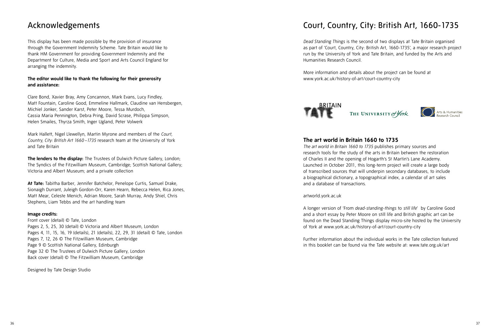# Acknowledgements

This display has been made possible by the provision of insurance through the Government Indemnity Scheme. Tate Britain would like to thank HM Government for providing Government Indemnity and the Department for Culture, Media and Sport and Arts Council England for arranging the indemnity.

### **The editor would like to thank the following for their generosity and assistance:**

Clare Bond, Xavier Bray, Amy Concannon, Mark Evans, Lucy Findley, Matt Fountain, Caroline Good, Emmeline Hallmark, Claudine van Hensbergen, Michiel Jonker, Sander Karst, Peter Moore, Tessa Murdoch, Cassia Maria Pennington, Debra Pring, David Scrase, Philippa Simpson, Helen Smailes, Thyrza Smith, Inger Ugland, Peter Volwerk

Mark Hallett, Nigel Llewellyn, Martin Myrone and members of the *Court, Country, City: British Art 1660 –1735* research team at the University of York and Tate Britain

**The lenders to the display:** The Trustees of Dulwich Picture Gallery, London; The Syndics of the Fitzwilliam Museum, Cambridge; Scottish National Gallery; Victoria and Albert Museum; and a private collection

**At Tate:** Tabitha Barber, Jennifer Batchelor, Penelope Curtis, Samuel Drake, Sionaigh Durrant, Juleigh Gordon-Orr, Karen Hearn, Rebecca Helen, Rica Jones, Matt Mear, Celeste Menich, Adrian Moore, Sarah Murray, Andy Shiel, Chris Stephens, Liam Tebbs and the art handling team

### **Image credits:**

Front cover (detail) © Tate, London Pages 2, 5, 25, 30 (detail) © Victoria and Albert Museum, London Pages 4, 11, 15, 16, 19 (details), 21 (details), 22, 29, 31 (detail) © Tate, London Pages 7, 12, 26 © The Fitzwilliam Museum, Cambridge Page 9 © Scottish National Gallery, Edinburgh Page 32 © The Trustees of Dulwich Picture Gallery, London Back cover (detail) © The Fitzwilliam Museum, Cambridge

Designed by Tate Design Studio

# Court, Country, City: British Art, 1660-1735

*Dead Standing Things* is the second of two displays at Tate Britain organised as part of 'Court, Country, City: British Art, 1660-1735', a major research project run by the University of York and Tate Britain, and funded by the Arts and Humanities Research Council.

More information and details about the project can be found at www.york.ac.uk/history-of-art/court-country-city



### **The art world in Britain 1660 to 1735**

*The art world in Britain 1660 to 1735* publishes primary sources and research tools for the study of the arts in Britain between the restoration of Charles II and the opening of Hogarth's St Martin's Lane Academy. Launched in October 2011, this long-term project will create a large body of transcribed sources that will underpin secondary databases, to include a biographical dictionary, a topographical index, a calendar of art sales and a database of transactions.

artworld.york.ac.uk

A longer version of 'From *dead-standing-things* to *still life*' by Caroline Good and a short essay by Peter Moore on still life and British graphic art can be found on the Dead Standing Things display micro-site hosted by the University of York at www.york.ac.uk/history-of-art/court-country-city

Further information about the individual works in the Tate collection featured in this booklet can be found via the Tate website at: www.tate.org.uk/art